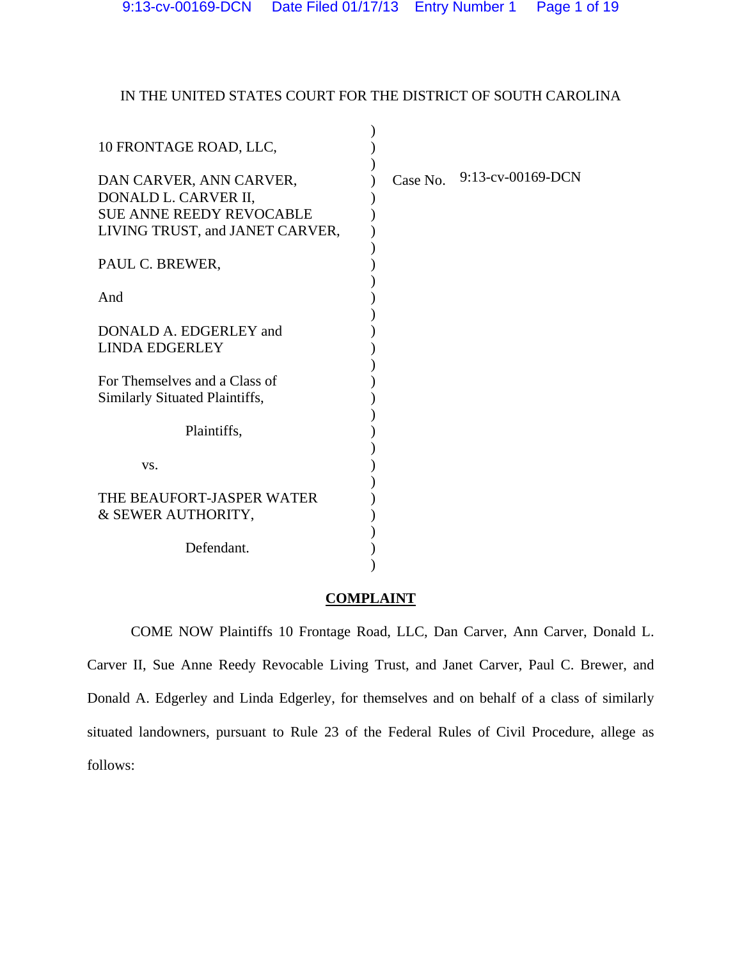# IN THE UNITED STATES COURT FOR THE DISTRICT OF SOUTH CAROLINA

| 10 FRONTAGE ROAD, LLC,                                                                                                |          |                   |
|-----------------------------------------------------------------------------------------------------------------------|----------|-------------------|
| DAN CARVER, ANN CARVER,<br>DONALD L. CARVER II,<br><b>SUE ANNE REEDY REVOCABLE</b><br>LIVING TRUST, and JANET CARVER, | Case No. | 9:13-cv-00169-DCN |
| PAUL C. BREWER,                                                                                                       |          |                   |
| And                                                                                                                   |          |                   |
| DONALD A. EDGERLEY and                                                                                                |          |                   |
| <b>LINDA EDGERLEY</b>                                                                                                 |          |                   |
| For Themselves and a Class of                                                                                         |          |                   |
| Similarly Situated Plaintiffs,                                                                                        |          |                   |
|                                                                                                                       |          |                   |
| Plaintiffs,                                                                                                           |          |                   |
|                                                                                                                       |          |                   |
| VS.                                                                                                                   |          |                   |
| THE BEAUFORT-JASPER WATER                                                                                             |          |                   |
| & SEWER AUTHORITY,                                                                                                    |          |                   |
|                                                                                                                       |          |                   |
| Defendant.                                                                                                            |          |                   |
|                                                                                                                       |          |                   |

## **COMPLAINT**

 COME NOW Plaintiffs 10 Frontage Road, LLC, Dan Carver, Ann Carver, Donald L. Carver II, Sue Anne Reedy Revocable Living Trust, and Janet Carver, Paul C. Brewer, and Donald A. Edgerley and Linda Edgerley, for themselves and on behalf of a class of similarly situated landowners, pursuant to Rule 23 of the Federal Rules of Civil Procedure, allege as follows: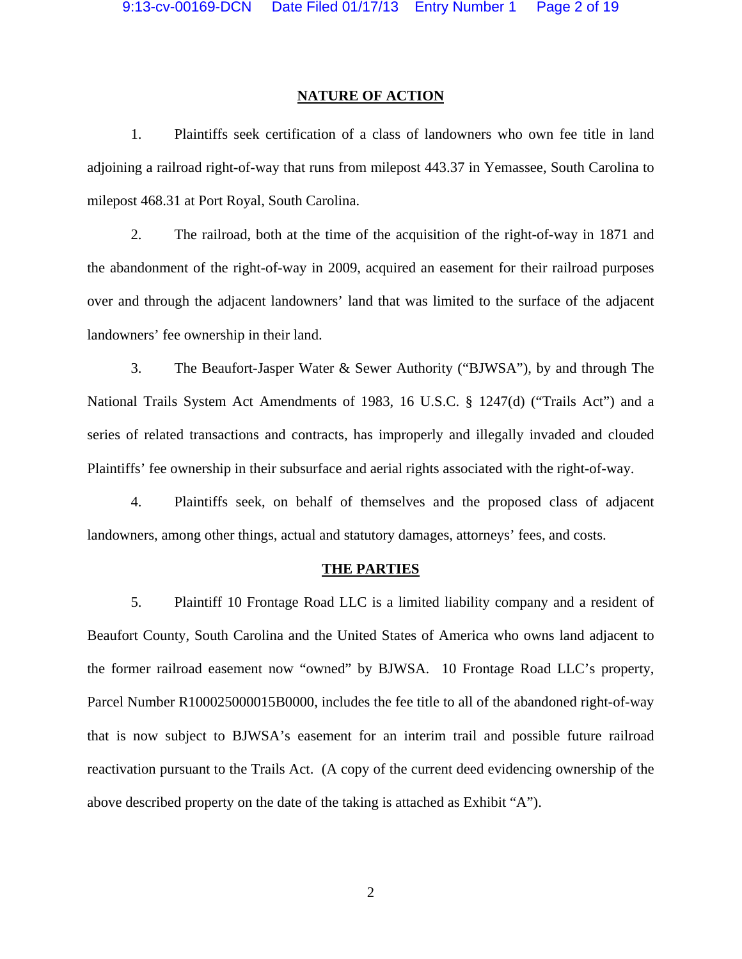### **NATURE OF ACTION**

1. Plaintiffs seek certification of a class of landowners who own fee title in land adjoining a railroad right-of-way that runs from milepost 443.37 in Yemassee, South Carolina to milepost 468.31 at Port Royal, South Carolina.

2. The railroad, both at the time of the acquisition of the right-of-way in 1871 and the abandonment of the right-of-way in 2009, acquired an easement for their railroad purposes over and through the adjacent landowners' land that was limited to the surface of the adjacent landowners' fee ownership in their land.

3. The Beaufort-Jasper Water & Sewer Authority ("BJWSA"), by and through The National Trails System Act Amendments of 1983, 16 U.S.C. § 1247(d) ("Trails Act") and a series of related transactions and contracts, has improperly and illegally invaded and clouded Plaintiffs' fee ownership in their subsurface and aerial rights associated with the right-of-way.

4. Plaintiffs seek, on behalf of themselves and the proposed class of adjacent landowners, among other things, actual and statutory damages, attorneys' fees, and costs.

### **THE PARTIES**

5. Plaintiff 10 Frontage Road LLC is a limited liability company and a resident of Beaufort County, South Carolina and the United States of America who owns land adjacent to the former railroad easement now "owned" by BJWSA. 10 Frontage Road LLC's property, Parcel Number R100025000015B0000, includes the fee title to all of the abandoned right-of-way that is now subject to BJWSA's easement for an interim trail and possible future railroad reactivation pursuant to the Trails Act. (A copy of the current deed evidencing ownership of the above described property on the date of the taking is attached as Exhibit "A").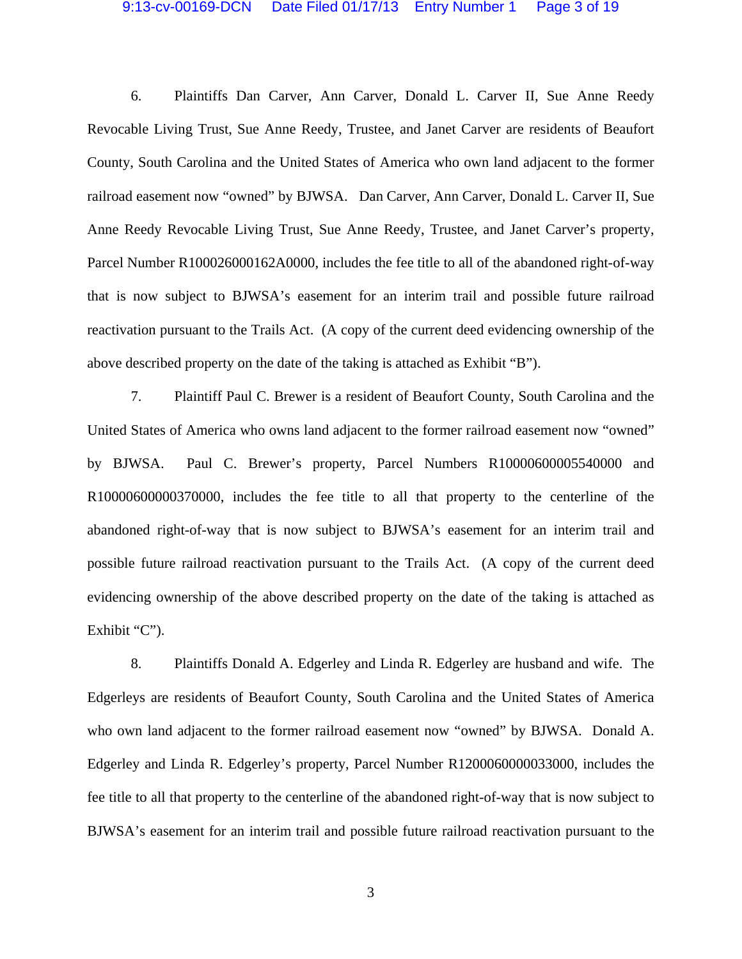## 9:13-cv-00169-DCN Date Filed 01/17/13 Entry Number 1 Page 3 of 19

6. Plaintiffs Dan Carver, Ann Carver, Donald L. Carver II, Sue Anne Reedy Revocable Living Trust, Sue Anne Reedy, Trustee, and Janet Carver are residents of Beaufort County, South Carolina and the United States of America who own land adjacent to the former railroad easement now "owned" by BJWSA. Dan Carver, Ann Carver, Donald L. Carver II, Sue Anne Reedy Revocable Living Trust, Sue Anne Reedy, Trustee, and Janet Carver's property, Parcel Number R100026000162A0000, includes the fee title to all of the abandoned right-of-way that is now subject to BJWSA's easement for an interim trail and possible future railroad reactivation pursuant to the Trails Act. (A copy of the current deed evidencing ownership of the above described property on the date of the taking is attached as Exhibit "B").

7. Plaintiff Paul C. Brewer is a resident of Beaufort County, South Carolina and the United States of America who owns land adjacent to the former railroad easement now "owned" by BJWSA. Paul C. Brewer's property, Parcel Numbers R10000600005540000 and R10000600000370000, includes the fee title to all that property to the centerline of the abandoned right-of-way that is now subject to BJWSA's easement for an interim trail and possible future railroad reactivation pursuant to the Trails Act. (A copy of the current deed evidencing ownership of the above described property on the date of the taking is attached as Exhibit "C").

8. Plaintiffs Donald A. Edgerley and Linda R. Edgerley are husband and wife. The Edgerleys are residents of Beaufort County, South Carolina and the United States of America who own land adjacent to the former railroad easement now "owned" by BJWSA. Donald A. Edgerley and Linda R. Edgerley's property, Parcel Number R1200060000033000, includes the fee title to all that property to the centerline of the abandoned right-of-way that is now subject to BJWSA's easement for an interim trail and possible future railroad reactivation pursuant to the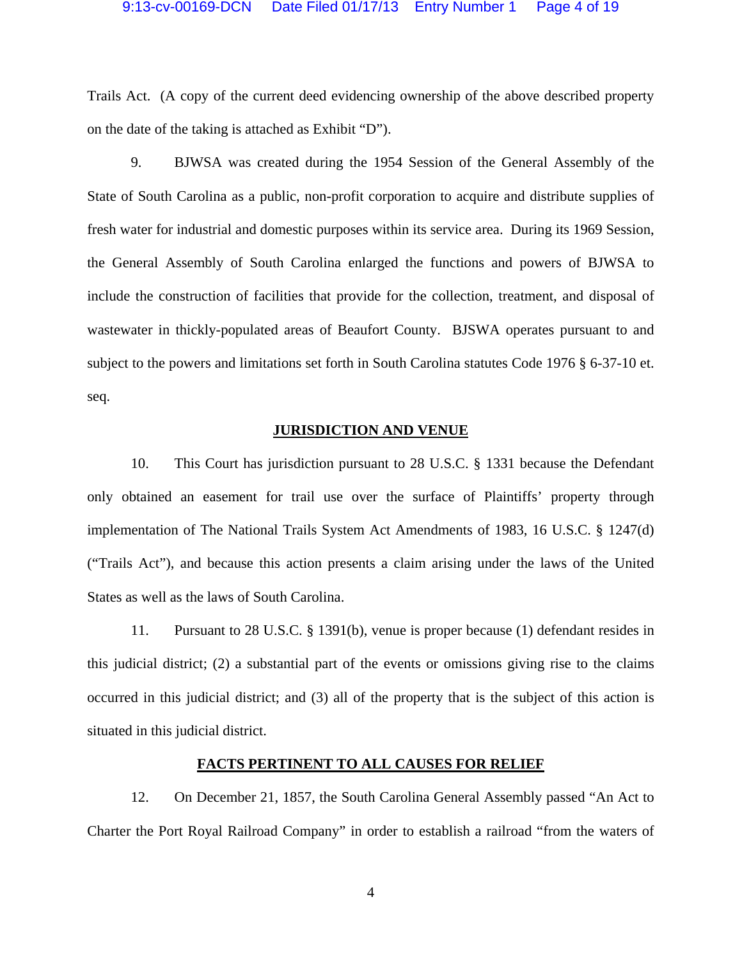## 9:13-cv-00169-DCN Date Filed 01/17/13 Entry Number 1 Page 4 of 19

Trails Act. (A copy of the current deed evidencing ownership of the above described property on the date of the taking is attached as Exhibit "D").

9. BJWSA was created during the 1954 Session of the General Assembly of the State of South Carolina as a public, non-profit corporation to acquire and distribute supplies of fresh water for industrial and domestic purposes within its service area. During its 1969 Session, the General Assembly of South Carolina enlarged the functions and powers of BJWSA to include the construction of facilities that provide for the collection, treatment, and disposal of wastewater in thickly-populated areas of Beaufort County. BJSWA operates pursuant to and subject to the powers and limitations set forth in South Carolina statutes Code 1976 § 6-37-10 et. seq.

## **JURISDICTION AND VENUE**

10. This Court has jurisdiction pursuant to 28 U.S.C. § 1331 because the Defendant only obtained an easement for trail use over the surface of Plaintiffs' property through implementation of The National Trails System Act Amendments of 1983, 16 U.S.C. § 1247(d) ("Trails Act"), and because this action presents a claim arising under the laws of the United States as well as the laws of South Carolina.

11. Pursuant to 28 U.S.C. § 1391(b), venue is proper because (1) defendant resides in this judicial district; (2) a substantial part of the events or omissions giving rise to the claims occurred in this judicial district; and (3) all of the property that is the subject of this action is situated in this judicial district.

## **FACTS PERTINENT TO ALL CAUSES FOR RELIEF**

12. On December 21, 1857, the South Carolina General Assembly passed "An Act to Charter the Port Royal Railroad Company" in order to establish a railroad "from the waters of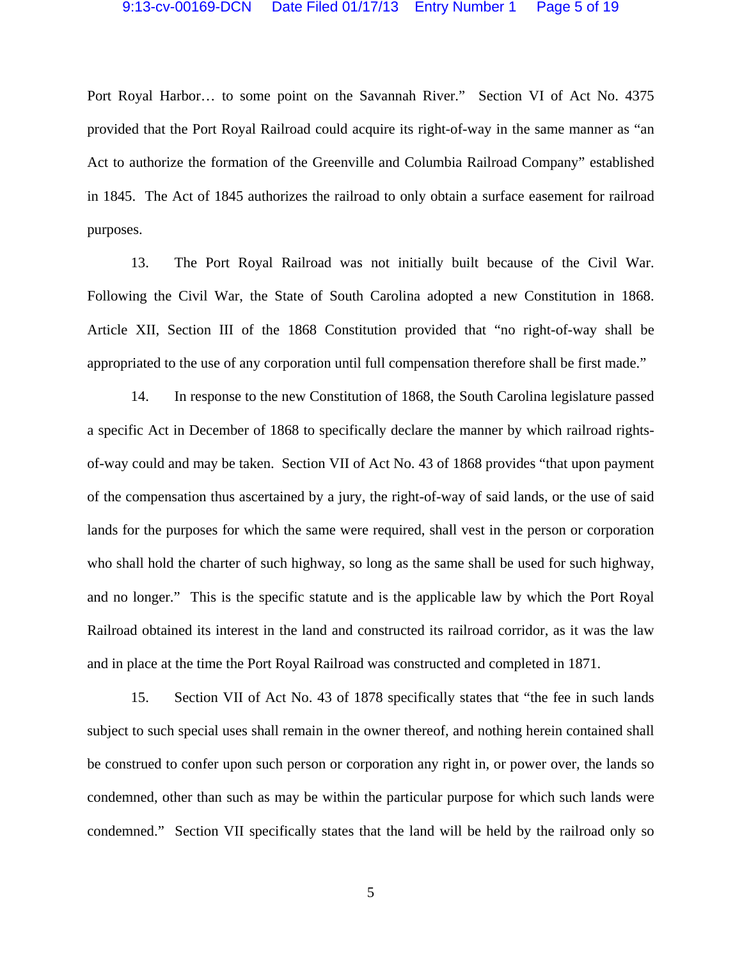## 9:13-cv-00169-DCN Date Filed 01/17/13 Entry Number 1 Page 5 of 19

Port Royal Harbor… to some point on the Savannah River." Section VI of Act No. 4375 provided that the Port Royal Railroad could acquire its right-of-way in the same manner as "an Act to authorize the formation of the Greenville and Columbia Railroad Company" established in 1845. The Act of 1845 authorizes the railroad to only obtain a surface easement for railroad purposes.

13. The Port Royal Railroad was not initially built because of the Civil War. Following the Civil War, the State of South Carolina adopted a new Constitution in 1868. Article XII, Section III of the 1868 Constitution provided that "no right-of-way shall be appropriated to the use of any corporation until full compensation therefore shall be first made."

14. In response to the new Constitution of 1868, the South Carolina legislature passed a specific Act in December of 1868 to specifically declare the manner by which railroad rightsof-way could and may be taken. Section VII of Act No. 43 of 1868 provides "that upon payment of the compensation thus ascertained by a jury, the right-of-way of said lands, or the use of said lands for the purposes for which the same were required, shall vest in the person or corporation who shall hold the charter of such highway, so long as the same shall be used for such highway, and no longer." This is the specific statute and is the applicable law by which the Port Royal Railroad obtained its interest in the land and constructed its railroad corridor, as it was the law and in place at the time the Port Royal Railroad was constructed and completed in 1871.

15. Section VII of Act No. 43 of 1878 specifically states that "the fee in such lands subject to such special uses shall remain in the owner thereof, and nothing herein contained shall be construed to confer upon such person or corporation any right in, or power over, the lands so condemned, other than such as may be within the particular purpose for which such lands were condemned." Section VII specifically states that the land will be held by the railroad only so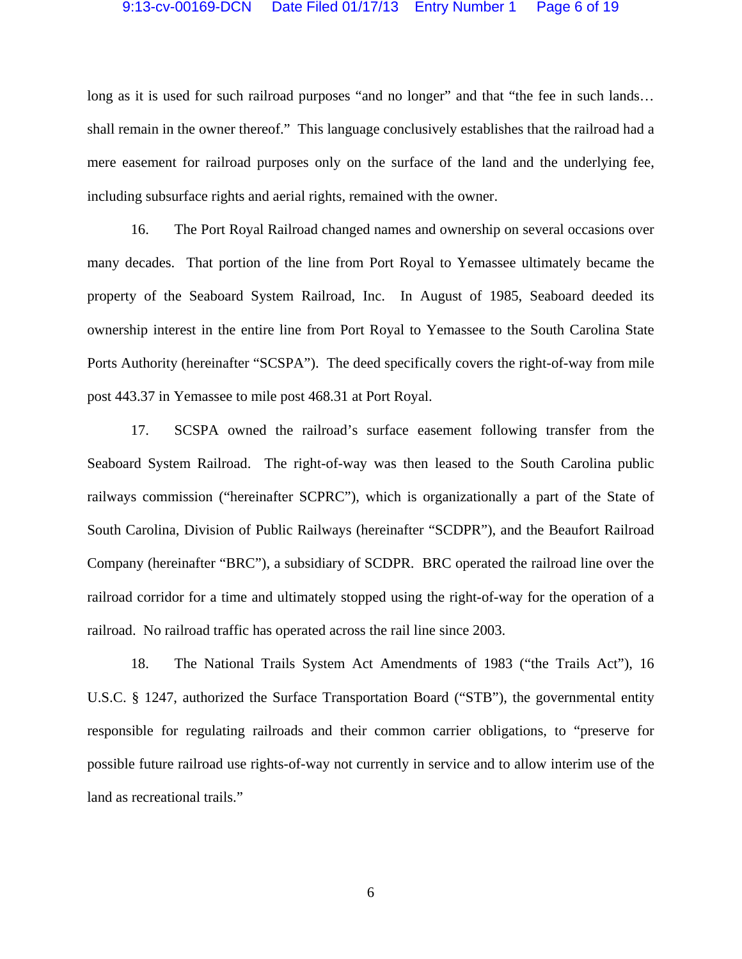## 9:13-cv-00169-DCN Date Filed 01/17/13 Entry Number 1 Page 6 of 19

long as it is used for such railroad purposes "and no longer" and that "the fee in such lands... shall remain in the owner thereof." This language conclusively establishes that the railroad had a mere easement for railroad purposes only on the surface of the land and the underlying fee, including subsurface rights and aerial rights, remained with the owner.

16. The Port Royal Railroad changed names and ownership on several occasions over many decades. That portion of the line from Port Royal to Yemassee ultimately became the property of the Seaboard System Railroad, Inc. In August of 1985, Seaboard deeded its ownership interest in the entire line from Port Royal to Yemassee to the South Carolina State Ports Authority (hereinafter "SCSPA"). The deed specifically covers the right-of-way from mile post 443.37 in Yemassee to mile post 468.31 at Port Royal.

17. SCSPA owned the railroad's surface easement following transfer from the Seaboard System Railroad. The right-of-way was then leased to the South Carolina public railways commission ("hereinafter SCPRC"), which is organizationally a part of the State of South Carolina, Division of Public Railways (hereinafter "SCDPR"), and the Beaufort Railroad Company (hereinafter "BRC"), a subsidiary of SCDPR. BRC operated the railroad line over the railroad corridor for a time and ultimately stopped using the right-of-way for the operation of a railroad. No railroad traffic has operated across the rail line since 2003.

18. The National Trails System Act Amendments of 1983 ("the Trails Act"), 16 U.S.C. § 1247, authorized the Surface Transportation Board ("STB"), the governmental entity responsible for regulating railroads and their common carrier obligations, to "preserve for possible future railroad use rights-of-way not currently in service and to allow interim use of the land as recreational trails."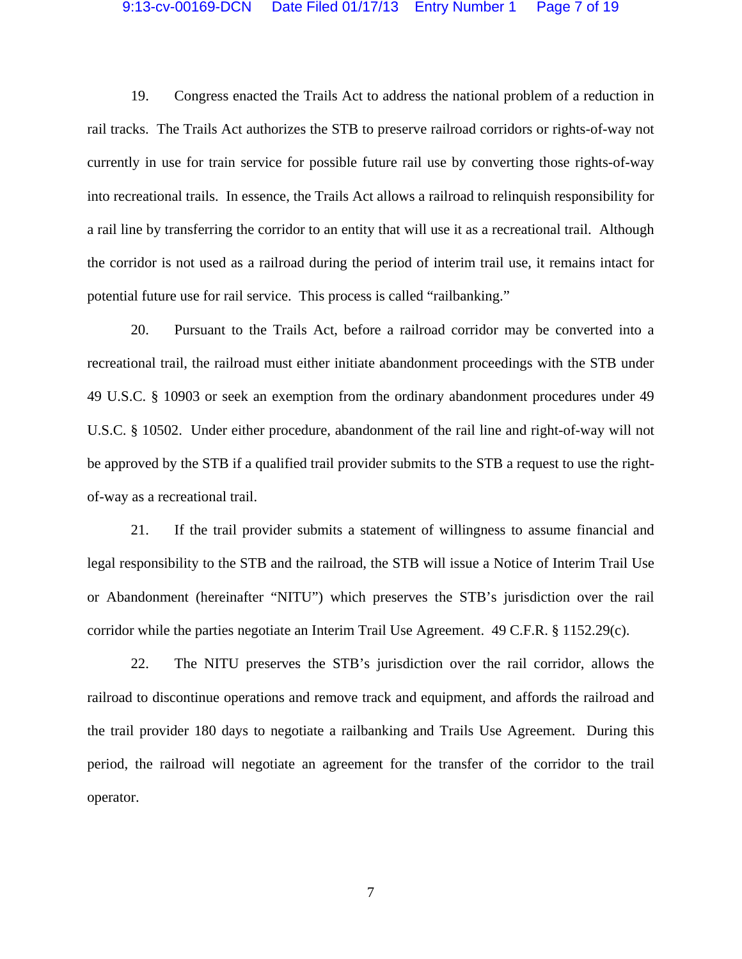## 9:13-cv-00169-DCN Date Filed 01/17/13 Entry Number 1 Page 7 of 19

19. Congress enacted the Trails Act to address the national problem of a reduction in rail tracks. The Trails Act authorizes the STB to preserve railroad corridors or rights-of-way not currently in use for train service for possible future rail use by converting those rights-of-way into recreational trails. In essence, the Trails Act allows a railroad to relinquish responsibility for a rail line by transferring the corridor to an entity that will use it as a recreational trail. Although the corridor is not used as a railroad during the period of interim trail use, it remains intact for potential future use for rail service. This process is called "railbanking."

20. Pursuant to the Trails Act, before a railroad corridor may be converted into a recreational trail, the railroad must either initiate abandonment proceedings with the STB under 49 U.S.C. § 10903 or seek an exemption from the ordinary abandonment procedures under 49 U.S.C. § 10502. Under either procedure, abandonment of the rail line and right-of-way will not be approved by the STB if a qualified trail provider submits to the STB a request to use the rightof-way as a recreational trail.

21. If the trail provider submits a statement of willingness to assume financial and legal responsibility to the STB and the railroad, the STB will issue a Notice of Interim Trail Use or Abandonment (hereinafter "NITU") which preserves the STB's jurisdiction over the rail corridor while the parties negotiate an Interim Trail Use Agreement. 49 C.F.R. § 1152.29(c).

22. The NITU preserves the STB's jurisdiction over the rail corridor, allows the railroad to discontinue operations and remove track and equipment, and affords the railroad and the trail provider 180 days to negotiate a railbanking and Trails Use Agreement. During this period, the railroad will negotiate an agreement for the transfer of the corridor to the trail operator.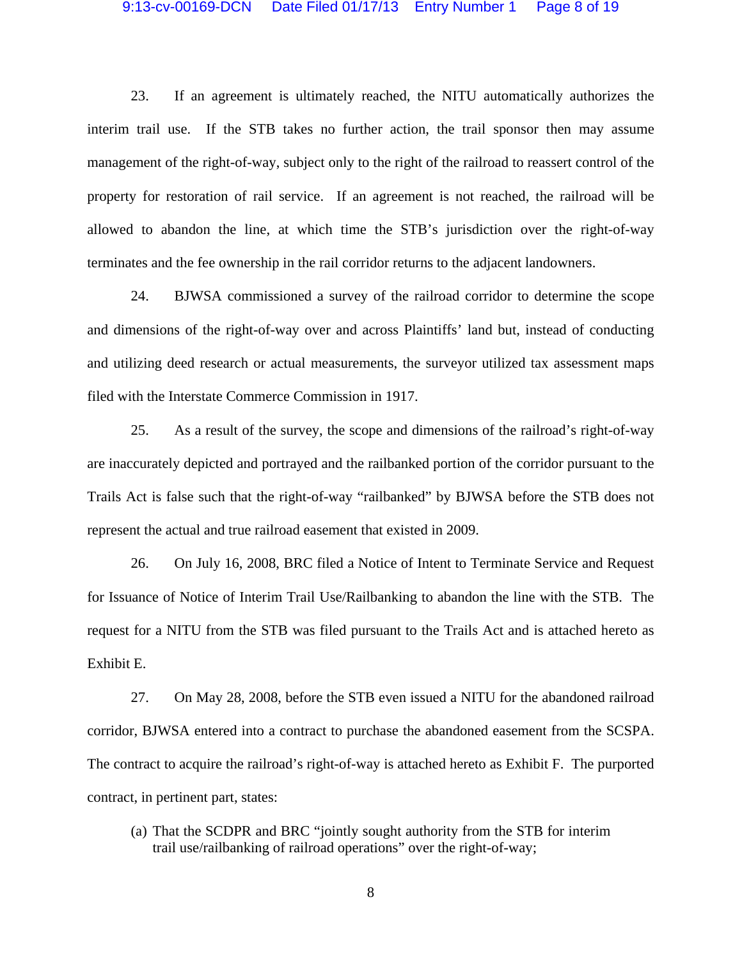### 9:13-cv-00169-DCN Date Filed 01/17/13 Entry Number 1 Page 8 of 19

23. If an agreement is ultimately reached, the NITU automatically authorizes the interim trail use. If the STB takes no further action, the trail sponsor then may assume management of the right-of-way, subject only to the right of the railroad to reassert control of the property for restoration of rail service. If an agreement is not reached, the railroad will be allowed to abandon the line, at which time the STB's jurisdiction over the right-of-way terminates and the fee ownership in the rail corridor returns to the adjacent landowners.

24. BJWSA commissioned a survey of the railroad corridor to determine the scope and dimensions of the right-of-way over and across Plaintiffs' land but, instead of conducting and utilizing deed research or actual measurements, the surveyor utilized tax assessment maps filed with the Interstate Commerce Commission in 1917.

25. As a result of the survey, the scope and dimensions of the railroad's right-of-way are inaccurately depicted and portrayed and the railbanked portion of the corridor pursuant to the Trails Act is false such that the right-of-way "railbanked" by BJWSA before the STB does not represent the actual and true railroad easement that existed in 2009.

26. On July 16, 2008, BRC filed a Notice of Intent to Terminate Service and Request for Issuance of Notice of Interim Trail Use/Railbanking to abandon the line with the STB. The request for a NITU from the STB was filed pursuant to the Trails Act and is attached hereto as Exhibit E.

27. On May 28, 2008, before the STB even issued a NITU for the abandoned railroad corridor, BJWSA entered into a contract to purchase the abandoned easement from the SCSPA. The contract to acquire the railroad's right-of-way is attached hereto as Exhibit F. The purported contract, in pertinent part, states:

(a) That the SCDPR and BRC "jointly sought authority from the STB for interim trail use/railbanking of railroad operations" over the right-of-way;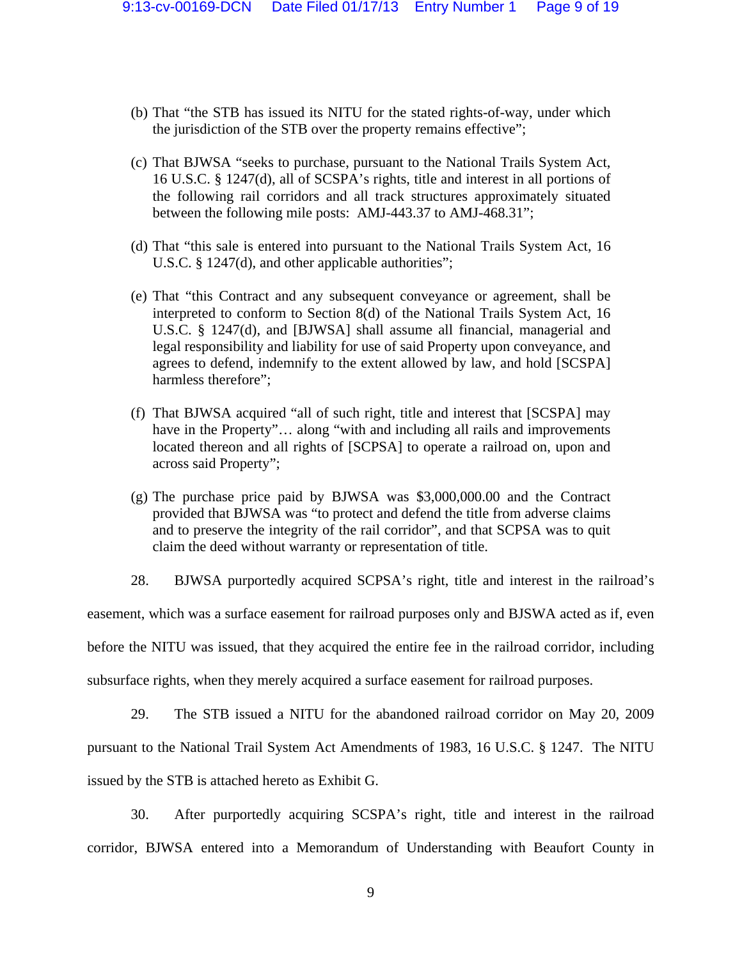- (b) That "the STB has issued its NITU for the stated rights-of-way, under which the jurisdiction of the STB over the property remains effective";
- (c) That BJWSA "seeks to purchase, pursuant to the National Trails System Act, 16 U.S.C. § 1247(d), all of SCSPA's rights, title and interest in all portions of the following rail corridors and all track structures approximately situated between the following mile posts: AMJ-443.37 to AMJ-468.31";
- (d) That "this sale is entered into pursuant to the National Trails System Act, 16 U.S.C. § 1247(d), and other applicable authorities";
- (e) That "this Contract and any subsequent conveyance or agreement, shall be interpreted to conform to Section 8(d) of the National Trails System Act, 16 U.S.C. § 1247(d), and [BJWSA] shall assume all financial, managerial and legal responsibility and liability for use of said Property upon conveyance, and agrees to defend, indemnify to the extent allowed by law, and hold [SCSPA] harmless therefore";
- (f) That BJWSA acquired "all of such right, title and interest that [SCSPA] may have in the Property"... along "with and including all rails and improvements located thereon and all rights of [SCPSA] to operate a railroad on, upon and across said Property";
- (g) The purchase price paid by BJWSA was \$3,000,000.00 and the Contract provided that BJWSA was "to protect and defend the title from adverse claims and to preserve the integrity of the rail corridor", and that SCPSA was to quit claim the deed without warranty or representation of title.
- 28. BJWSA purportedly acquired SCPSA's right, title and interest in the railroad's

easement, which was a surface easement for railroad purposes only and BJSWA acted as if, even

before the NITU was issued, that they acquired the entire fee in the railroad corridor, including

subsurface rights, when they merely acquired a surface easement for railroad purposes.

29. The STB issued a NITU for the abandoned railroad corridor on May 20, 2009

pursuant to the National Trail System Act Amendments of 1983, 16 U.S.C. § 1247. The NITU issued by the STB is attached hereto as Exhibit G.

30. After purportedly acquiring SCSPA's right, title and interest in the railroad corridor, BJWSA entered into a Memorandum of Understanding with Beaufort County in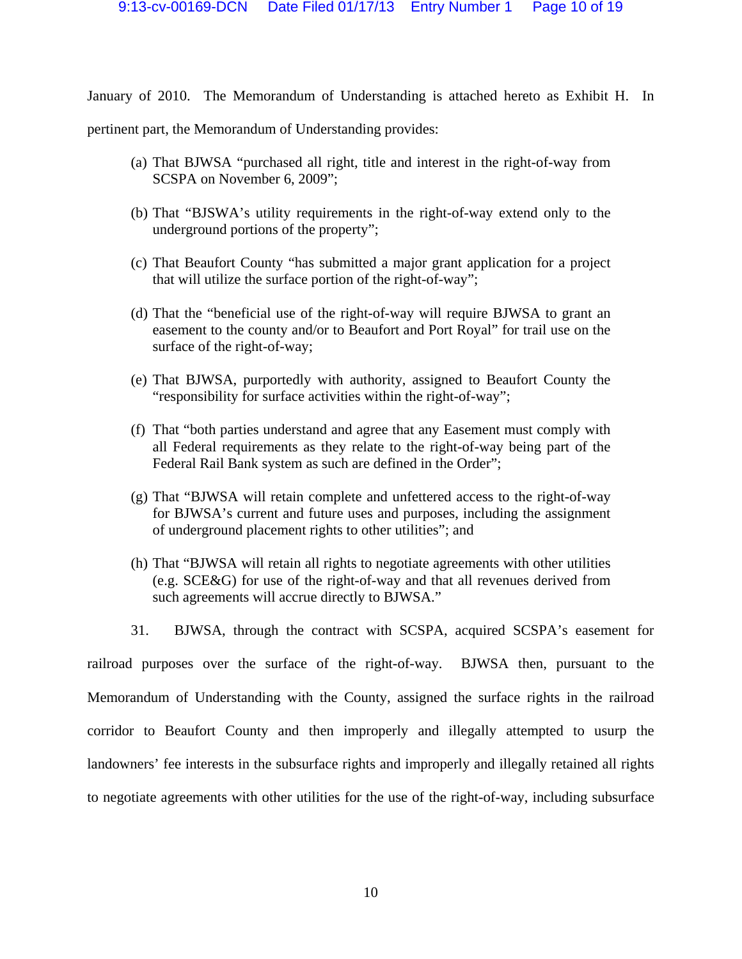January of 2010. The Memorandum of Understanding is attached hereto as Exhibit H. In

pertinent part, the Memorandum of Understanding provides:

- (a) That BJWSA "purchased all right, title and interest in the right-of-way from SCSPA on November 6, 2009";
- (b) That "BJSWA's utility requirements in the right-of-way extend only to the underground portions of the property";
- (c) That Beaufort County "has submitted a major grant application for a project that will utilize the surface portion of the right-of-way";
- (d) That the "beneficial use of the right-of-way will require BJWSA to grant an easement to the county and/or to Beaufort and Port Royal" for trail use on the surface of the right-of-way;
- (e) That BJWSA, purportedly with authority, assigned to Beaufort County the "responsibility for surface activities within the right-of-way";
- (f) That "both parties understand and agree that any Easement must comply with all Federal requirements as they relate to the right-of-way being part of the Federal Rail Bank system as such are defined in the Order";
- (g) That "BJWSA will retain complete and unfettered access to the right-of-way for BJWSA's current and future uses and purposes, including the assignment of underground placement rights to other utilities"; and
- (h) That "BJWSA will retain all rights to negotiate agreements with other utilities (e.g. SCE&G) for use of the right-of-way and that all revenues derived from such agreements will accrue directly to BJWSA."
- 31. BJWSA, through the contract with SCSPA, acquired SCSPA's easement for

railroad purposes over the surface of the right-of-way. BJWSA then, pursuant to the Memorandum of Understanding with the County, assigned the surface rights in the railroad corridor to Beaufort County and then improperly and illegally attempted to usurp the landowners' fee interests in the subsurface rights and improperly and illegally retained all rights to negotiate agreements with other utilities for the use of the right-of-way, including subsurface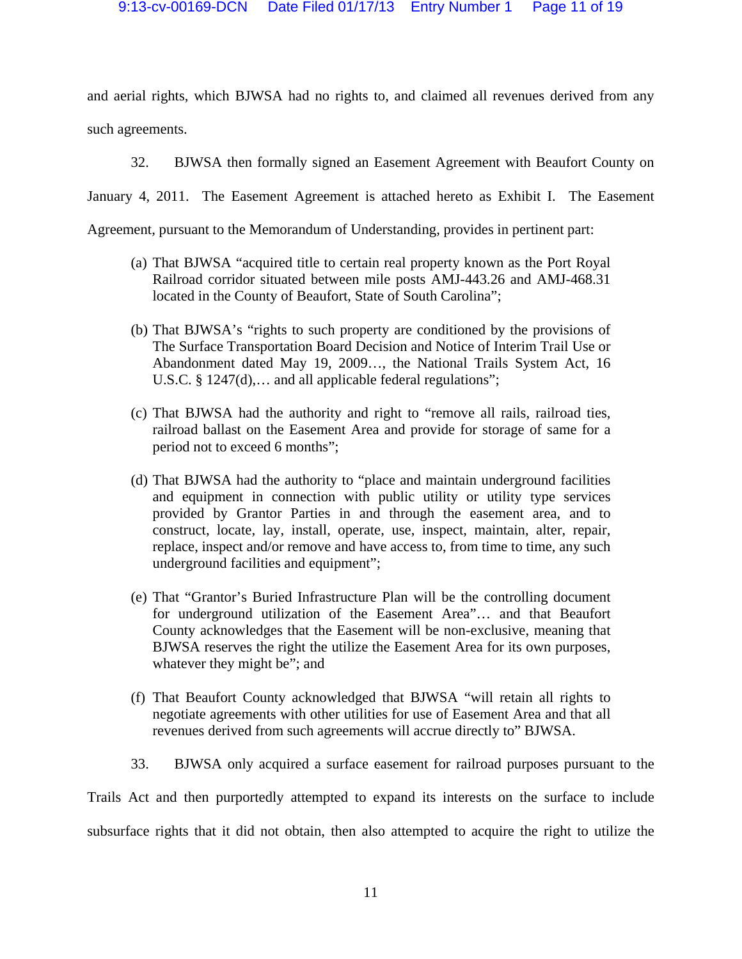and aerial rights, which BJWSA had no rights to, and claimed all revenues derived from any such agreements.

32. BJWSA then formally signed an Easement Agreement with Beaufort County on

January 4, 2011. The Easement Agreement is attached hereto as Exhibit I. The Easement

Agreement, pursuant to the Memorandum of Understanding, provides in pertinent part:

- (a) That BJWSA "acquired title to certain real property known as the Port Royal Railroad corridor situated between mile posts AMJ-443.26 and AMJ-468.31 located in the County of Beaufort, State of South Carolina";
- (b) That BJWSA's "rights to such property are conditioned by the provisions of The Surface Transportation Board Decision and Notice of Interim Trail Use or Abandonment dated May 19, 2009…, the National Trails System Act, 16 U.S.C. § 1247(d),... and all applicable federal regulations";
- (c) That BJWSA had the authority and right to "remove all rails, railroad ties, railroad ballast on the Easement Area and provide for storage of same for a period not to exceed 6 months";
- (d) That BJWSA had the authority to "place and maintain underground facilities and equipment in connection with public utility or utility type services provided by Grantor Parties in and through the easement area, and to construct, locate, lay, install, operate, use, inspect, maintain, alter, repair, replace, inspect and/or remove and have access to, from time to time, any such underground facilities and equipment";
- (e) That "Grantor's Buried Infrastructure Plan will be the controlling document for underground utilization of the Easement Area"… and that Beaufort County acknowledges that the Easement will be non-exclusive, meaning that BJWSA reserves the right the utilize the Easement Area for its own purposes, whatever they might be"; and
- (f) That Beaufort County acknowledged that BJWSA "will retain all rights to negotiate agreements with other utilities for use of Easement Area and that all revenues derived from such agreements will accrue directly to" BJWSA.
- 33. BJWSA only acquired a surface easement for railroad purposes pursuant to the

Trails Act and then purportedly attempted to expand its interests on the surface to include subsurface rights that it did not obtain, then also attempted to acquire the right to utilize the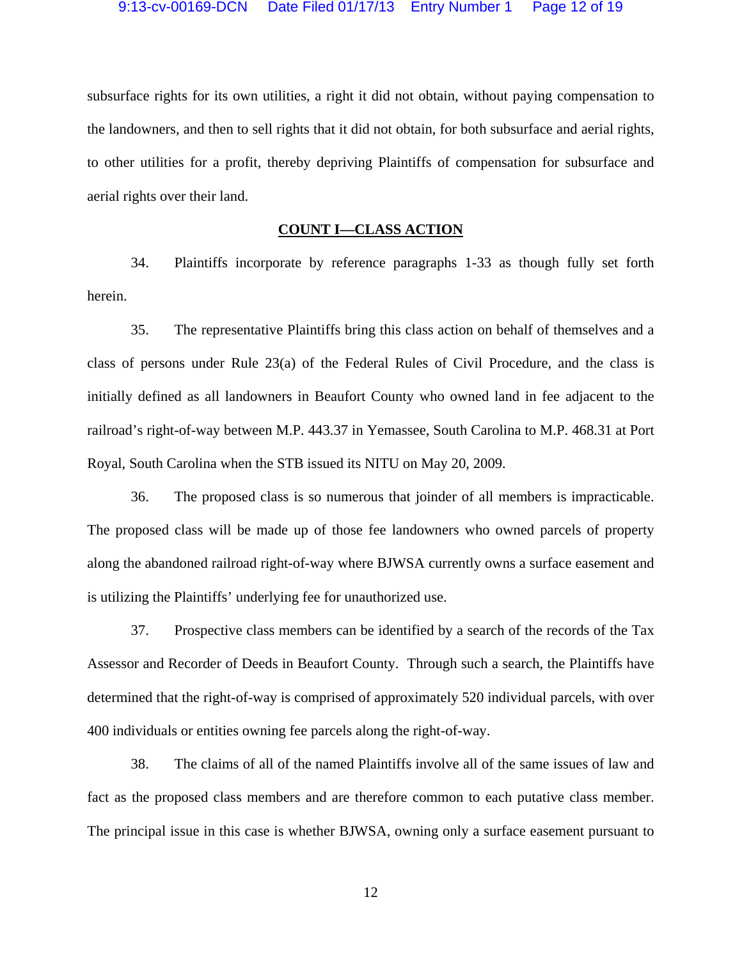subsurface rights for its own utilities, a right it did not obtain, without paying compensation to the landowners, and then to sell rights that it did not obtain, for both subsurface and aerial rights, to other utilities for a profit, thereby depriving Plaintiffs of compensation for subsurface and aerial rights over their land.

# **COUNT I—CLASS ACTION**

34. Plaintiffs incorporate by reference paragraphs 1-33 as though fully set forth herein.

35. The representative Plaintiffs bring this class action on behalf of themselves and a class of persons under Rule 23(a) of the Federal Rules of Civil Procedure, and the class is initially defined as all landowners in Beaufort County who owned land in fee adjacent to the railroad's right-of-way between M.P. 443.37 in Yemassee, South Carolina to M.P. 468.31 at Port Royal, South Carolina when the STB issued its NITU on May 20, 2009.

36. The proposed class is so numerous that joinder of all members is impracticable. The proposed class will be made up of those fee landowners who owned parcels of property along the abandoned railroad right-of-way where BJWSA currently owns a surface easement and is utilizing the Plaintiffs' underlying fee for unauthorized use.

37. Prospective class members can be identified by a search of the records of the Tax Assessor and Recorder of Deeds in Beaufort County. Through such a search, the Plaintiffs have determined that the right-of-way is comprised of approximately 520 individual parcels, with over 400 individuals or entities owning fee parcels along the right-of-way.

38. The claims of all of the named Plaintiffs involve all of the same issues of law and fact as the proposed class members and are therefore common to each putative class member. The principal issue in this case is whether BJWSA, owning only a surface easement pursuant to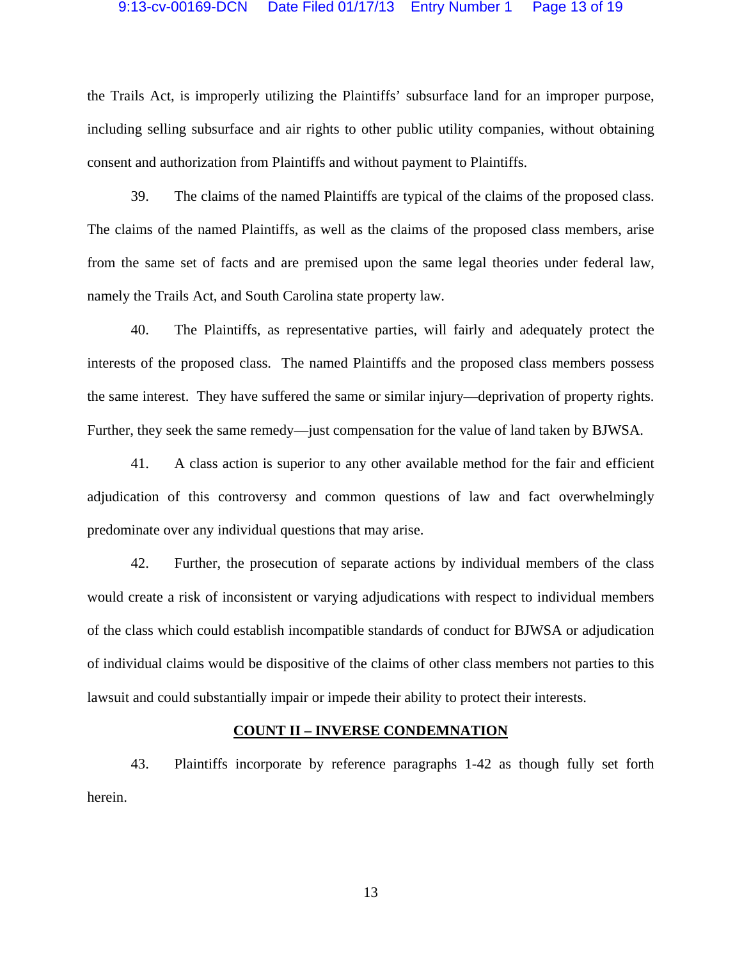## 9:13-cv-00169-DCN Date Filed 01/17/13 Entry Number 1 Page 13 of 19

the Trails Act, is improperly utilizing the Plaintiffs' subsurface land for an improper purpose, including selling subsurface and air rights to other public utility companies, without obtaining consent and authorization from Plaintiffs and without payment to Plaintiffs.

39. The claims of the named Plaintiffs are typical of the claims of the proposed class. The claims of the named Plaintiffs, as well as the claims of the proposed class members, arise from the same set of facts and are premised upon the same legal theories under federal law, namely the Trails Act, and South Carolina state property law.

40. The Plaintiffs, as representative parties, will fairly and adequately protect the interests of the proposed class. The named Plaintiffs and the proposed class members possess the same interest. They have suffered the same or similar injury—deprivation of property rights. Further, they seek the same remedy—just compensation for the value of land taken by BJWSA.

41. A class action is superior to any other available method for the fair and efficient adjudication of this controversy and common questions of law and fact overwhelmingly predominate over any individual questions that may arise.

42. Further, the prosecution of separate actions by individual members of the class would create a risk of inconsistent or varying adjudications with respect to individual members of the class which could establish incompatible standards of conduct for BJWSA or adjudication of individual claims would be dispositive of the claims of other class members not parties to this lawsuit and could substantially impair or impede their ability to protect their interests.

## **COUNT II – INVERSE CONDEMNATION**

43. Plaintiffs incorporate by reference paragraphs 1-42 as though fully set forth herein.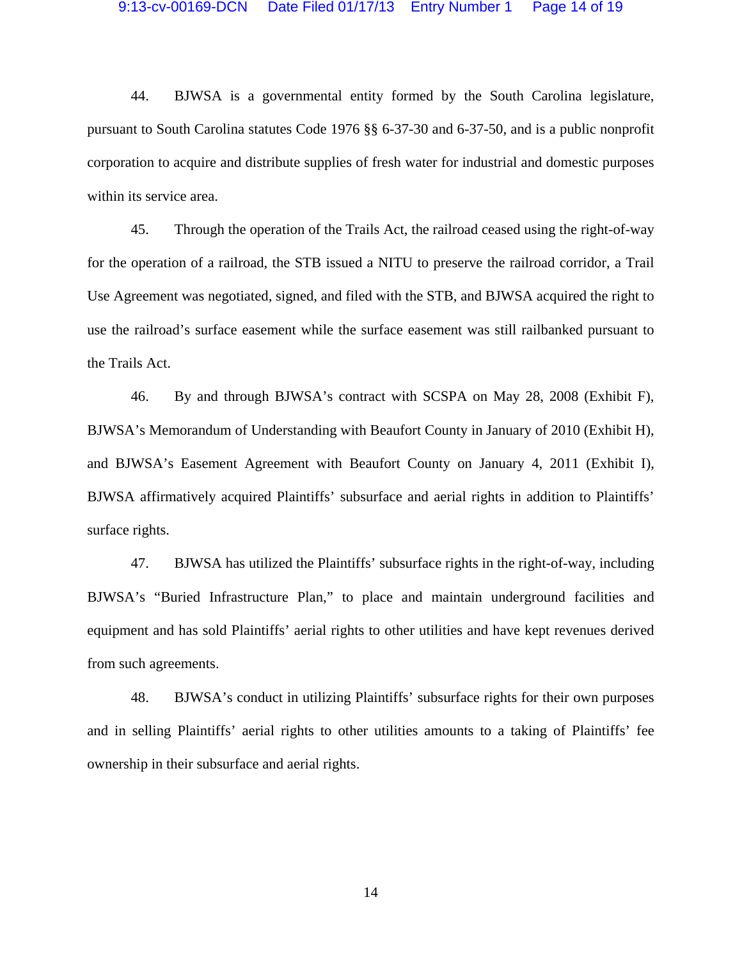### 9:13-cv-00169-DCN Date Filed 01/17/13 Entry Number 1 Page 14 of 19

44. BJWSA is a governmental entity formed by the South Carolina legislature, pursuant to South Carolina statutes Code 1976 §§ 6-37-30 and 6-37-50, and is a public nonprofit corporation to acquire and distribute supplies of fresh water for industrial and domestic purposes within its service area.

45. Through the operation of the Trails Act, the railroad ceased using the right-of-way for the operation of a railroad, the STB issued a NITU to preserve the railroad corridor, a Trail Use Agreement was negotiated, signed, and filed with the STB, and BJWSA acquired the right to use the railroad's surface easement while the surface easement was still railbanked pursuant to the Trails Act.

46. By and through BJWSA's contract with SCSPA on May 28, 2008 (Exhibit F), BJWSA's Memorandum of Understanding with Beaufort County in January of 2010 (Exhibit H), and BJWSA's Easement Agreement with Beaufort County on January 4, 2011 (Exhibit I), BJWSA affirmatively acquired Plaintiffs' subsurface and aerial rights in addition to Plaintiffs' surface rights.

47. BJWSA has utilized the Plaintiffs' subsurface rights in the right-of-way, including BJWSA's "Buried Infrastructure Plan," to place and maintain underground facilities and equipment and has sold Plaintiffs' aerial rights to other utilities and have kept revenues derived from such agreements.

48. BJWSA's conduct in utilizing Plaintiffs' subsurface rights for their own purposes and in selling Plaintiffs' aerial rights to other utilities amounts to a taking of Plaintiffs' fee ownership in their subsurface and aerial rights.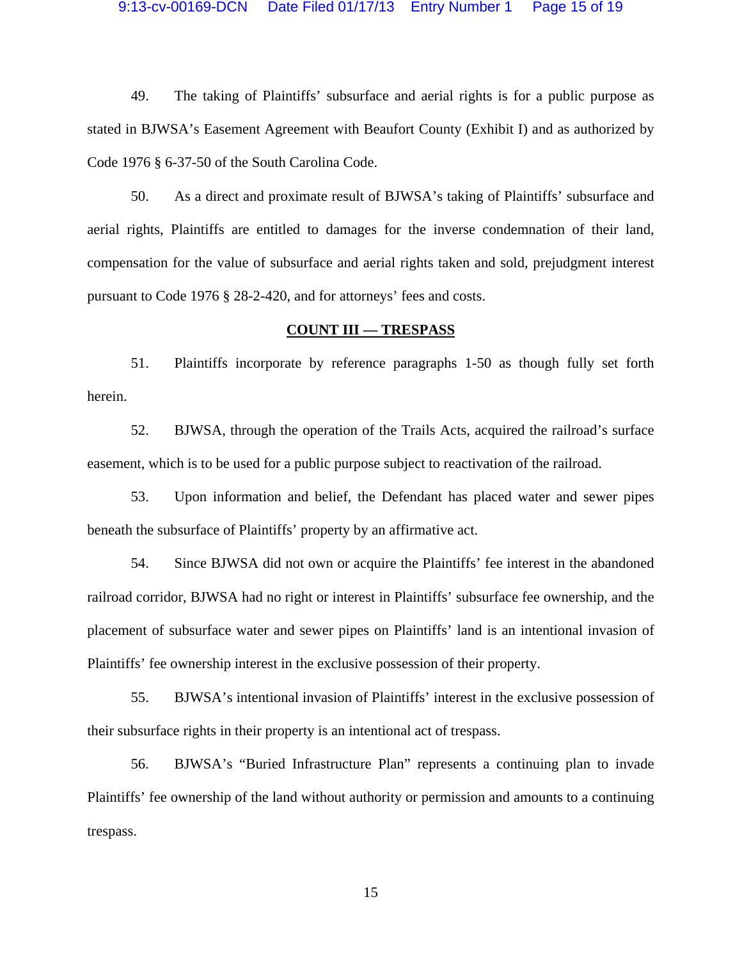## 9:13-cv-00169-DCN Date Filed 01/17/13 Entry Number 1 Page 15 of 19

49. The taking of Plaintiffs' subsurface and aerial rights is for a public purpose as stated in BJWSA's Easement Agreement with Beaufort County (Exhibit I) and as authorized by Code 1976 § 6-37-50 of the South Carolina Code.

50. As a direct and proximate result of BJWSA's taking of Plaintiffs' subsurface and aerial rights, Plaintiffs are entitled to damages for the inverse condemnation of their land, compensation for the value of subsurface and aerial rights taken and sold, prejudgment interest pursuant to Code 1976 § 28-2-420, and for attorneys' fees and costs.

## **COUNT III — TRESPASS**

51. Plaintiffs incorporate by reference paragraphs 1-50 as though fully set forth herein.

52. BJWSA, through the operation of the Trails Acts, acquired the railroad's surface easement, which is to be used for a public purpose subject to reactivation of the railroad.

53. Upon information and belief, the Defendant has placed water and sewer pipes beneath the subsurface of Plaintiffs' property by an affirmative act.

54. Since BJWSA did not own or acquire the Plaintiffs' fee interest in the abandoned railroad corridor, BJWSA had no right or interest in Plaintiffs' subsurface fee ownership, and the placement of subsurface water and sewer pipes on Plaintiffs' land is an intentional invasion of Plaintiffs' fee ownership interest in the exclusive possession of their property.

55. BJWSA's intentional invasion of Plaintiffs' interest in the exclusive possession of their subsurface rights in their property is an intentional act of trespass.

56. BJWSA's "Buried Infrastructure Plan" represents a continuing plan to invade Plaintiffs' fee ownership of the land without authority or permission and amounts to a continuing trespass.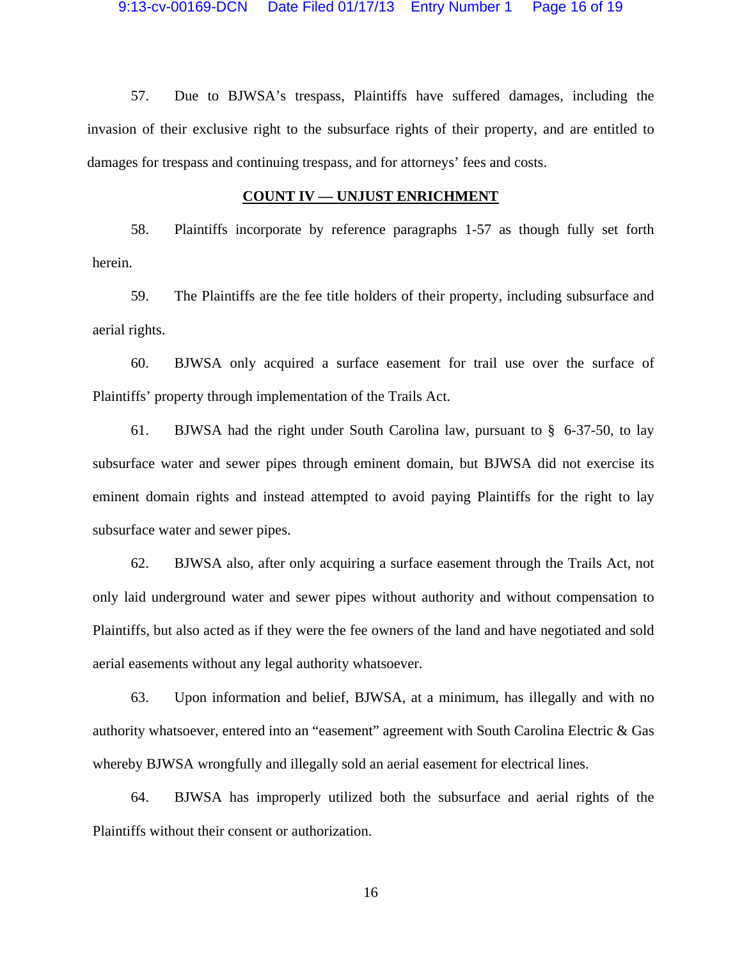57. Due to BJWSA's trespass, Plaintiffs have suffered damages, including the invasion of their exclusive right to the subsurface rights of their property, and are entitled to damages for trespass and continuing trespass, and for attorneys' fees and costs.

## **COUNT IV — UNJUST ENRICHMENT**

58. Plaintiffs incorporate by reference paragraphs 1-57 as though fully set forth herein.

59. The Plaintiffs are the fee title holders of their property, including subsurface and aerial rights.

60. BJWSA only acquired a surface easement for trail use over the surface of Plaintiffs' property through implementation of the Trails Act.

61. BJWSA had the right under South Carolina law, pursuant to § 6-37-50, to lay subsurface water and sewer pipes through eminent domain, but BJWSA did not exercise its eminent domain rights and instead attempted to avoid paying Plaintiffs for the right to lay subsurface water and sewer pipes.

62. BJWSA also, after only acquiring a surface easement through the Trails Act, not only laid underground water and sewer pipes without authority and without compensation to Plaintiffs, but also acted as if they were the fee owners of the land and have negotiated and sold aerial easements without any legal authority whatsoever.

63. Upon information and belief, BJWSA, at a minimum, has illegally and with no authority whatsoever, entered into an "easement" agreement with South Carolina Electric & Gas whereby BJWSA wrongfully and illegally sold an aerial easement for electrical lines.

64. BJWSA has improperly utilized both the subsurface and aerial rights of the Plaintiffs without their consent or authorization.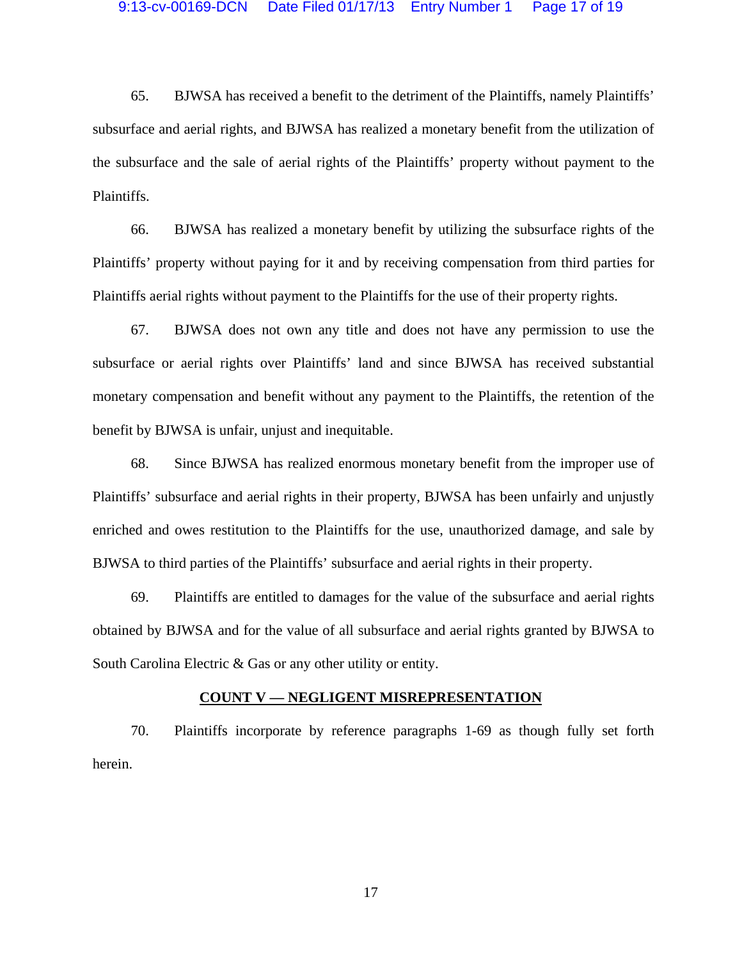### 9:13-cv-00169-DCN Date Filed 01/17/13 Entry Number 1 Page 17 of 19

65. BJWSA has received a benefit to the detriment of the Plaintiffs, namely Plaintiffs' subsurface and aerial rights, and BJWSA has realized a monetary benefit from the utilization of the subsurface and the sale of aerial rights of the Plaintiffs' property without payment to the Plaintiffs.

66. BJWSA has realized a monetary benefit by utilizing the subsurface rights of the Plaintiffs' property without paying for it and by receiving compensation from third parties for Plaintiffs aerial rights without payment to the Plaintiffs for the use of their property rights.

67. BJWSA does not own any title and does not have any permission to use the subsurface or aerial rights over Plaintiffs' land and since BJWSA has received substantial monetary compensation and benefit without any payment to the Plaintiffs, the retention of the benefit by BJWSA is unfair, unjust and inequitable.

68. Since BJWSA has realized enormous monetary benefit from the improper use of Plaintiffs' subsurface and aerial rights in their property, BJWSA has been unfairly and unjustly enriched and owes restitution to the Plaintiffs for the use, unauthorized damage, and sale by BJWSA to third parties of the Plaintiffs' subsurface and aerial rights in their property.

69. Plaintiffs are entitled to damages for the value of the subsurface and aerial rights obtained by BJWSA and for the value of all subsurface and aerial rights granted by BJWSA to South Carolina Electric & Gas or any other utility or entity.

## **COUNT V — NEGLIGENT MISREPRESENTATION**

70. Plaintiffs incorporate by reference paragraphs 1-69 as though fully set forth herein.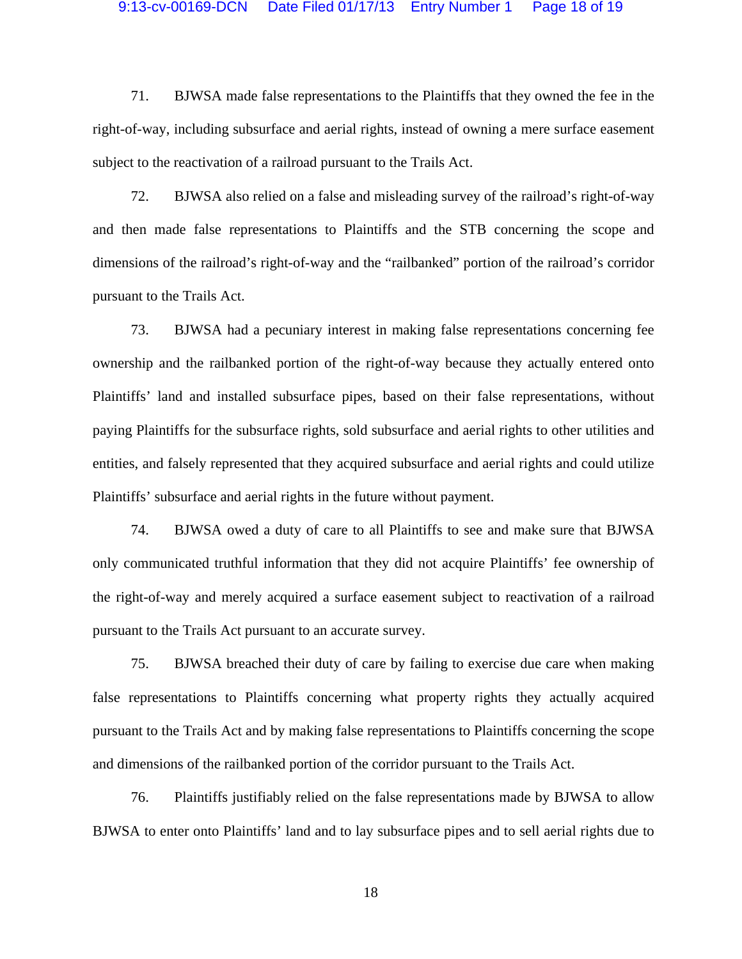### 9:13-cv-00169-DCN Date Filed 01/17/13 Entry Number 1 Page 18 of 19

71. BJWSA made false representations to the Plaintiffs that they owned the fee in the right-of-way, including subsurface and aerial rights, instead of owning a mere surface easement subject to the reactivation of a railroad pursuant to the Trails Act.

72. BJWSA also relied on a false and misleading survey of the railroad's right-of-way and then made false representations to Plaintiffs and the STB concerning the scope and dimensions of the railroad's right-of-way and the "railbanked" portion of the railroad's corridor pursuant to the Trails Act.

73. BJWSA had a pecuniary interest in making false representations concerning fee ownership and the railbanked portion of the right-of-way because they actually entered onto Plaintiffs' land and installed subsurface pipes, based on their false representations, without paying Plaintiffs for the subsurface rights, sold subsurface and aerial rights to other utilities and entities, and falsely represented that they acquired subsurface and aerial rights and could utilize Plaintiffs' subsurface and aerial rights in the future without payment.

74. BJWSA owed a duty of care to all Plaintiffs to see and make sure that BJWSA only communicated truthful information that they did not acquire Plaintiffs' fee ownership of the right-of-way and merely acquired a surface easement subject to reactivation of a railroad pursuant to the Trails Act pursuant to an accurate survey.

75. BJWSA breached their duty of care by failing to exercise due care when making false representations to Plaintiffs concerning what property rights they actually acquired pursuant to the Trails Act and by making false representations to Plaintiffs concerning the scope and dimensions of the railbanked portion of the corridor pursuant to the Trails Act.

76. Plaintiffs justifiably relied on the false representations made by BJWSA to allow BJWSA to enter onto Plaintiffs' land and to lay subsurface pipes and to sell aerial rights due to